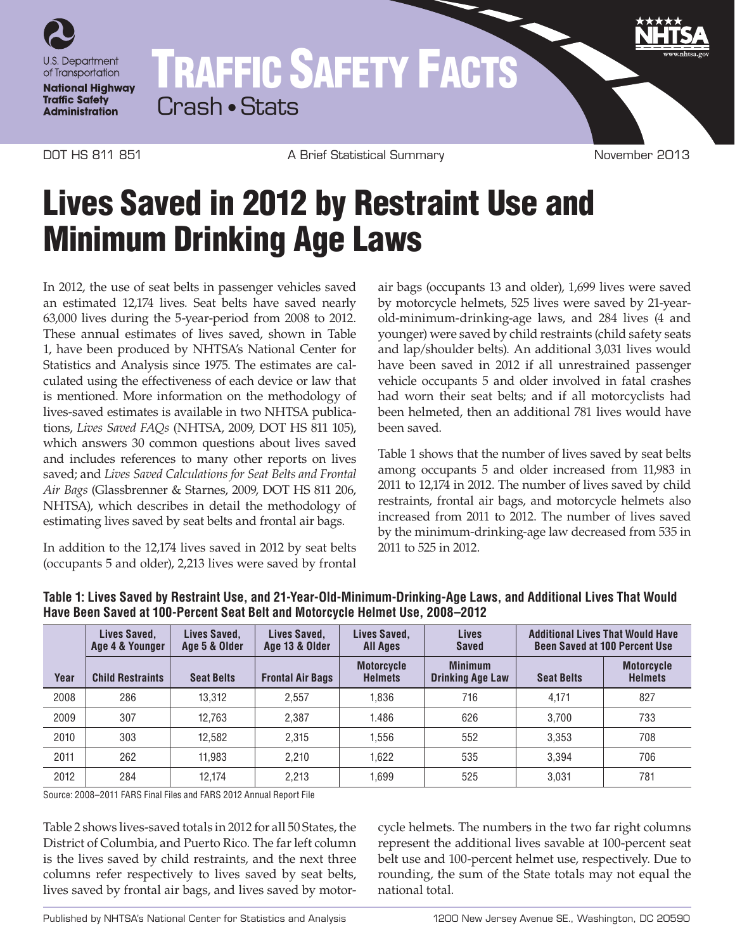

## TRAFFIC SAFETY FACTS Crash • Stats

DOT HS 811 851 **A Brief Statistical Summary COT A Brief Statistical Summary** November 2013

## Lives Saved in 2012 by Restraint Use and Minimum Drinking Age Laws

In 2012, the use of seat belts in passenger vehicles saved an estimated 12,174 lives. Seat belts have saved nearly 63,000 lives during the 5-year-period from 2008 to 2012. These annual estimates of lives saved, shown in Table 1, have been produced by NHTSA's National Center for Statistics and Analysis since 1975. The estimates are calculated using the effectiveness of each device or law that is mentioned. More information on the methodology of lives-saved estimates is available in two NHTSA publications, *Lives Saved FAQs* (NHTSA, 2009, DOT HS 811 105), which answers 30 common questions about lives saved and includes references to many other reports on lives saved; and *Lives Saved Calculations for Seat Belts and Frontal Air Bags* (Glassbrenner & Starnes, 2009, DOT HS 811 206, NHTSA), which describes in detail the methodology of estimating lives saved by seat belts and frontal air bags.

In addition to the 12,174 lives saved in 2012 by seat belts (occupants 5 and older), 2,213 lives were saved by frontal air bags (occupants 13 and older), 1,699 lives were saved by motorcycle helmets, 525 lives were saved by 21-yearold-minimum-drinking-age laws, and 284 lives (4 and younger) were saved by child restraints (child safety seats and lap/shoulder belts). An additional 3,031 lives would have been saved in 2012 if all unrestrained passenger vehicle occupants 5 and older involved in fatal crashes had worn their seat belts; and if all motorcyclists had been helmeted, then an additional 781 lives would have been saved.

Table 1 shows that the number of lives saved by seat belts among occupants 5 and older increased from 11,983 in 2011 to 12,174 in 2012. The number of lives saved by child restraints, frontal air bags, and motorcycle helmets also increased from 2011 to 2012. The number of lives saved by the minimum-drinking-age law decreased from 535 in 2011 to 525 in 2012.

|      | Lives Saved,<br>Age 4 & Younger | Lives Saved,<br>Age 5 & Older | Lives Saved,<br>Age 13 & Older | Lives Saved,<br><b>All Ages</b>     | <b>Lives</b><br><b>Saved</b>              | <b>Additional Lives That Would Have</b><br><b>Been Saved at 100 Percent Use</b> |                                     |
|------|---------------------------------|-------------------------------|--------------------------------|-------------------------------------|-------------------------------------------|---------------------------------------------------------------------------------|-------------------------------------|
| Year | <b>Child Restraints</b>         | <b>Seat Belts</b>             | <b>Frontal Air Bags</b>        | <b>Motorcycle</b><br><b>Helmets</b> | <b>Minimum</b><br><b>Drinking Age Law</b> | <b>Seat Belts</b>                                                               | <b>Motorcycle</b><br><b>Helmets</b> |
| 2008 | 286                             | 13,312                        | 2.557                          | 1.836                               | 716                                       | 4.171                                                                           | 827                                 |
| 2009 | 307                             | 12.763                        | 2.387                          | 1.486                               | 626                                       | 3.700                                                                           | 733                                 |
| 2010 | 303                             | 12.582                        | 2.315                          | 1.556                               | 552                                       | 3.353                                                                           | 708                                 |
| 2011 | 262                             | 11.983                        | 2.210                          | 1.622                               | 535                                       | 3.394                                                                           | 706                                 |
| 2012 | 284                             | 12.174                        | 2.213                          | 1.699                               | 525                                       | 3.031                                                                           | 781                                 |

## **Table 1: Lives Saved by Restraint Use, and 21-Year-Old-Minimum-Drinking-Age Laws, and Additional Lives That Would Have Been Saved at 100-Percent Seat Belt and Motorcycle Helmet Use, 2008–2012**

Source: 2008–2011 FARS Final Files and FARS 2012 Annual Report File

Table 2 shows lives-saved totals in 2012 for all 50 States, the District of Columbia, and Puerto Rico. The far left column is the lives saved by child restraints, and the next three columns refer respectively to lives saved by seat belts, lives saved by frontal air bags, and lives saved by motor-

cycle helmets. The numbers in the two far right columns represent the additional lives savable at 100-percent seat belt use and 100-percent helmet use, respectively. Due to rounding, the sum of the State totals may not equal the national total.